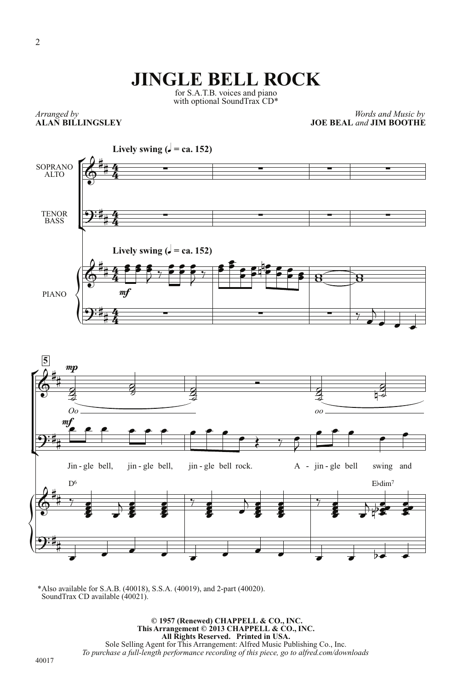## **JINGLE BELL ROCK**

for S.A.T.B. voices and piano with optional SoundTrax CD<sup>\*</sup>

## *Arranged by* **ALAN BILLINGSLEY**

*Words and Music by* **JOE BEAL** *and* **JIM BOOTHE**



\*Also available for S.A.B. (40018), S.S.A. (40019), and 2-part (40020). SoundTrax CD available (40021).

> **© 1957 (Renewed) CHAPPELL & CO., INC. This Arrangement © 2013 CHAPPELL & CO., INC. All Rights Reserved. Printed in USA.** Sole Selling Agent for This Arrangement: Alfred Music Publishing Co., Inc. *To purchase a full-length performance recording of this piece, go to alfred.com/downloads*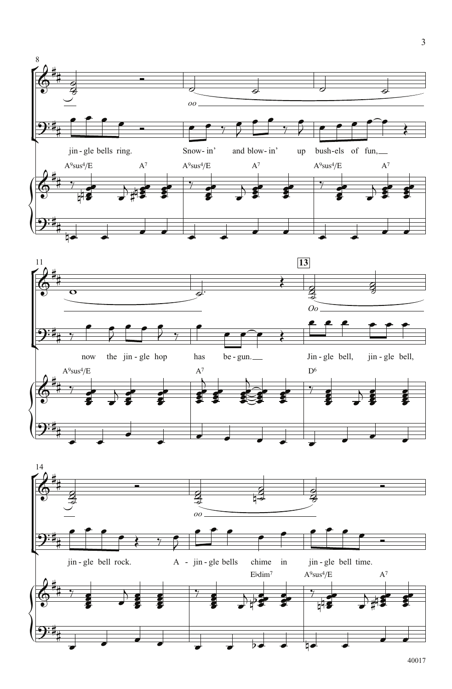



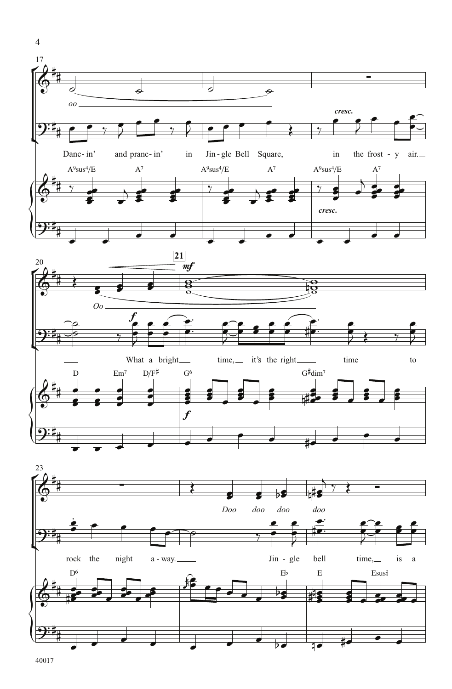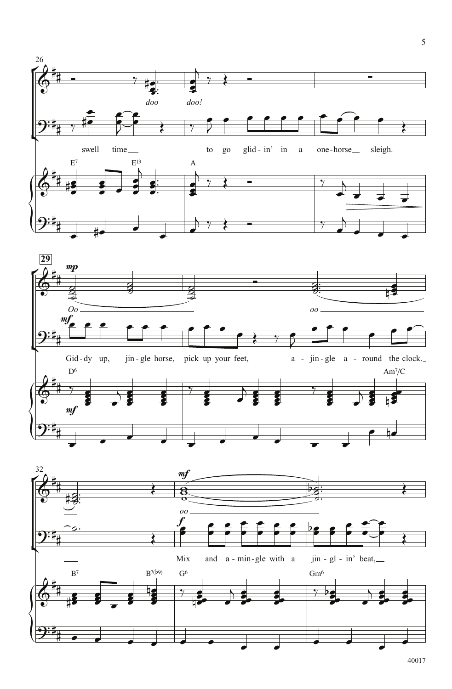



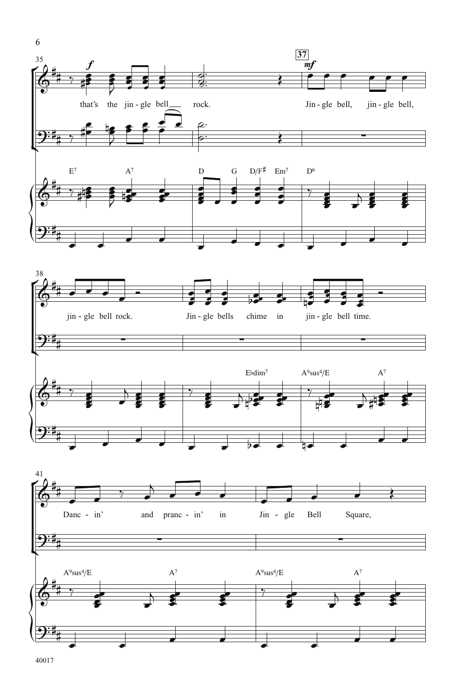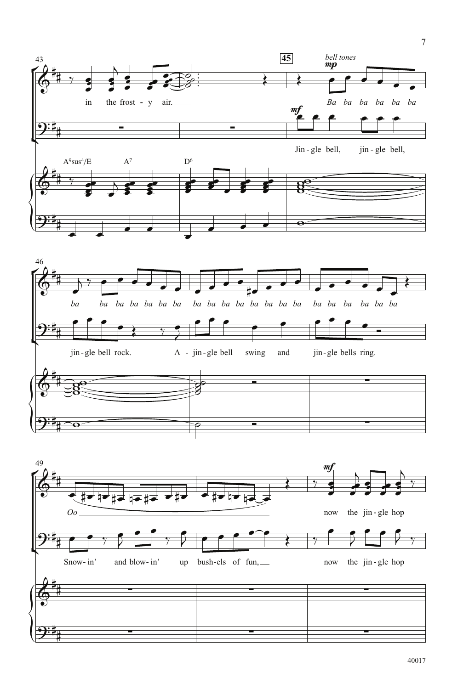

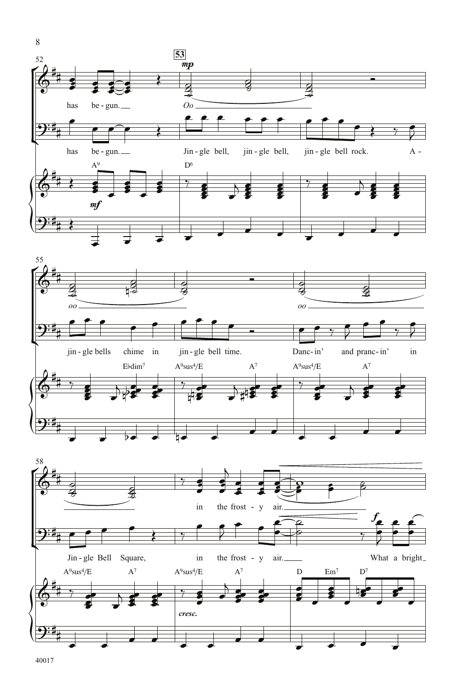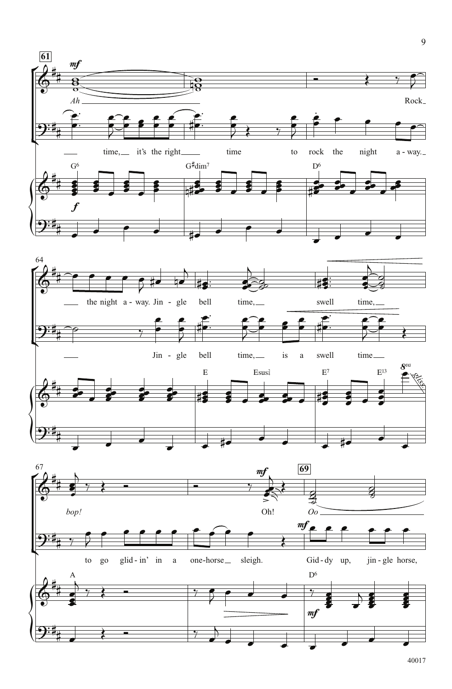



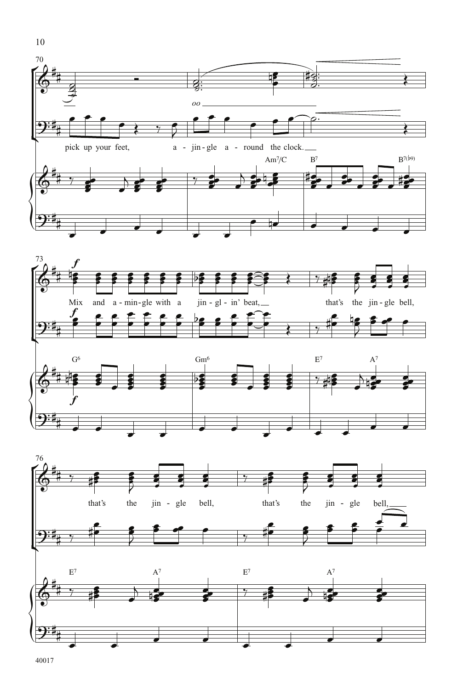